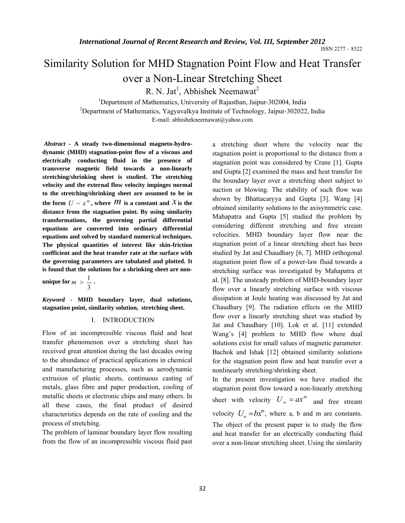# Similarity Solution for MHD Stagnation Point Flow and Heat Transfer over a Non-Linear Stretching Sheet

R. N. Jat<sup>1</sup>, Abhishek Neemawat<sup>2</sup>

<sup>1</sup>Department of Mathematics, University of Rajasthan, Jaipur-302004, India<br><sup>2</sup>Department of Mathematics, Veguevalleye Institute of Technology, Jaipur 202022

<sup>2</sup>Department of Mathematics, Yagyavalkya Institute of Technology, Jaipur-302022, India

E-mail: abhishekneemawat@yahoo.com

*Abstract -* **A steady two-dimensional magneto-hydrodynamic (MHD) stagnation-point flow of a viscous and electrically conducting fluid in the presence of transverse magnetic field towards a non-linearly stretching/shrinking sheet is studied. The stretching velocity and the external flow velocity impinges normal to the stretching/shrinking sheet are assumed to be in the form**  $U \sim x^m$ , where  $M$  is a constant and  $\chi$  is the **distance from the stagnation point. By using similarity transformations, the governing partial differential equations are converted into ordinary differential equations and solved by standard numerical techniques. The physical quantities of interest like skin-friction coefficient and the heat transfer rate at the surface with the governing parameters are tabulated and plotted. It is found that the solutions for a shrinking sheet are non-**

**unique for** 3  $m > \frac{1}{2}$ .

*Keyword -* **MHD boundary layer, dual solutions, stagnation point, similarity solution, stretching sheet.** 

#### I. INTRODUCTION

Flow of an incompressible viscous fluid and heat transfer phenomenon over a stretching sheet has received great attention during the last decades owing to the abundance of practical applications in chemical and manufacturing processes, such as aerodynamic extrusion of plastic sheets, continuous casting of metals, glass fibre and paper production, cooling of metallic sheets or electronic chips and many others. In all these cases, the final product of desired characteristics depends on the rate of cooling and the process of stretching.

The problem of laminar boundary layer flow resulting from the flow of an incompressible viscous fluid past

a stretching sheet where the velocity near the stagnation point is proportional to the distance from a stagnation point was considered by Crane [1]. Gupta and Gupta [2] examined the mass and heat transfer for the boundary layer over a stretching sheet subject to suction or blowing. The stability of such flow was shown by Bhattacaryya and Gupta [3]. Wang [4] obtained similarity solutions to the axisymmetric case. Mahapatra and Gupta [5] studied the problem by considering different stretching and free stream velocities. MHD boundary layer flow near the stagnation point of a linear stretching sheet has been studied by Jat and Chaudhary [6, 7]. MHD orthogonal stagnation point flow of a power-law fluid towards a stretching surface was investigated by Mahapatra et al. [8]. The unsteady problem of MHD-boundary layer flow over a linearly stretching surface with viscous dissipation at Joule heating was discussed by Jat and Chaudhary [9]. The radiation effects on the MHD flow over a linearly stretching sheet was studied by Jat and Chaudhary [10]. Lok et al. [11] extended Wang's [4] problem to MHD flow where dual solutions exist for small values of magnetic parameter. Bachok and Ishak [12] obtained similarity solutions for the stagnation point flow and heat transfer over a nonlinearly stretching/shrinking sheet.

In the present investigation we have studied the stagnation point flow toward a non-linearly stretching sheet with velocity  $U_w = ax^m$  and free stream velocity  $U_{\infty} = bx^{m}$ , where a, b and m are constants. The object of the present paper is to study the flow and heat transfer for an electrically conducting fluid over a non-linear stretching sheet. Using the similarity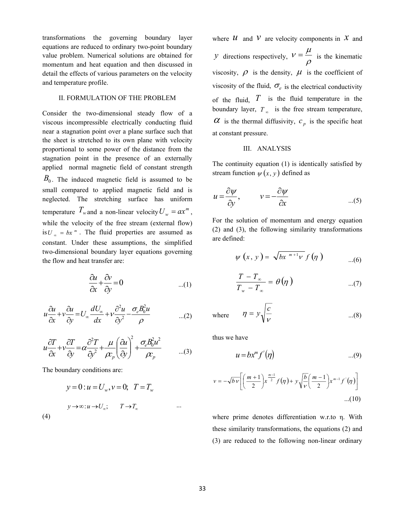transformations the governing boundary layer equations are reduced to ordinary two-point boundary value problem. Numerical solutions are obtained for momentum and heat equation and then discussed in detail the effects of various parameters on the velocity and temperature profile.

#### II. FORMULATION OF THE PROBLEM

Consider the two-dimensional steady flow of a viscous incompressible electrically conducting fluid near a stagnation point over a plane surface such that the sheet is stretched to its own plane with velocity proportional to some power of the distance from the stagnation point in the presence of an externally applied normal magnetic field of constant strength  $B_0$ . The induced magnetic field is assumed to be small compared to applied magnetic field and is neglected. The stretching surface has uniform temperature  $T_w$  and a non-linear velocity  $U_w = ax^m$ , while the velocity of the free stream (external flow) is  $U_{\infty} = bx^m$ . The fluid properties are assumed as constant. Under these assumptions, the simplified two-dimensional boundary layer equations governing the flow and heat transfer are:

$$
\frac{\partial u}{\partial x} + \frac{\partial v}{\partial y} = 0 \tag{1}
$$

$$
u\frac{\partial u}{\partial x} + v\frac{\partial u}{\partial y} = U_{\infty}\frac{dU_{\infty}}{dx} + v\frac{\partial^2 u}{\partial y^2} - \frac{\sigma_e B_0^2 u}{\rho}
$$
...(2)

$$
u\frac{\partial T}{\partial x} + v\frac{\partial T}{\partial y} = \alpha \frac{\partial^2 T}{\partial y^2} + \frac{\mu}{\rho r_p} \left(\frac{\partial u}{\partial y}\right)^2 + \frac{\sigma_e B_0^2 u^2}{\rho r_p} \qquad \dots (3)
$$

The boundary conditions are:

(4)

$$
y = 0: u = U_w, v = 0; \quad T = T_w
$$
  

$$
y \rightarrow \infty: u \rightarrow U_{\infty}; \quad T \rightarrow T_{\infty}
$$

where  $\mathcal{U}$  and  $\mathcal{V}$  are velocity components in  $\mathcal{X}$  and *y* directions respectively, ρ  $v = \frac{\mu}{\mu}$  is the kinematic viscosity,  $\rho$  is the density,  $\mu$  is the coefficient of viscosity of the fluid,  $\sigma_e$  is the electrical conductivity of the fluid,  $\overline{T}$  is the fluid temperature in the boundary layer,  $T_{\infty}$  is the free stream temperature,  $\alpha$  is the thermal diffusivity,  $c_p$  is the specific heat at constant pressure.

# III. ANALYSIS

The continuity equation (1) is identically satisfied by stream function  $\psi(x, y)$  defined as

$$
u = \frac{\partial \psi}{\partial y}, \qquad v = -\frac{\partial \psi}{\partial x}
$$
...(5)

For the solution of momentum and energy equation (2) and (3), the following similarity transformations are defined:

$$
\psi(x, y) = \sqrt{bx^{m+1}v} f(\eta) \qquad ...(6)
$$

$$
\frac{T - T_{\infty}}{T_{w} - T_{\infty}} = \theta(\eta) \qquad ...(7)
$$

where 
$$
\eta = y \sqrt{\frac{c}{v}}
$$
 ...(8)

thus we have

$$
u = bx^m f'(\eta) \tag{9}
$$

$$
v = -\sqrt{b \nu} \left[ \left( \frac{m+1}{2} \right) x^{\frac{m-1}{2}} f(\eta) + y \sqrt{\frac{b}{\nu}} \left( \frac{m-1}{2} \right) x^{m-1} f'(\eta) \right] \tag{10}
$$

where prime denotes differentiation w.r.to η. With these similarity transformations, the equations (2) and (3) are reduced to the following non-linear ordinary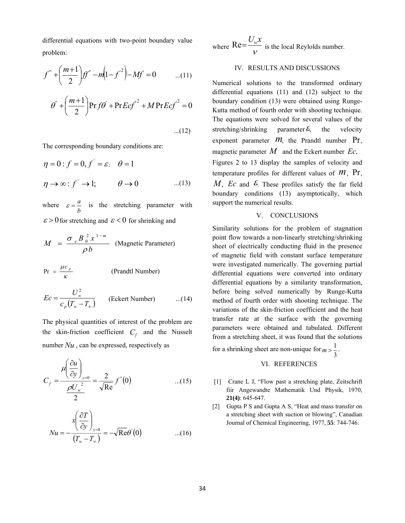differential equations with two-point boundary value problem:

$$
f'' + \left(\frac{m+1}{2}\right) f f'' - m \left(1 - f'^2\right) - M f' = 0 \qquad ...(11)
$$
  

$$
\theta' + \left(\frac{m+1}{2}\right) \Pr f \theta' + \Pr E c f'^2 + M \Pr E c f'^2 = 0
$$
  
...(12)

The corresponding boundary conditions are:

$$
\eta = 0: f = 0, f' = \varepsilon; \quad \theta = 1
$$
  

$$
\eta \to \infty: f' \to 1; \qquad \theta \to 0 \qquad ...(13)
$$

where *b*  $\varepsilon = \frac{a}{l}$  is the stretching parameter with  $\epsilon > 0$  for stretching and  $\epsilon < 0$  for shrinking and

$$
M = \frac{\sigma_e B_0^2 x^{1-m}}{\rho b}
$$
 (Magnetic Parameter)

$$
Pr = \frac{\mu c_p}{\kappa}
$$
 (Prandtl Number)

$$
Ec = \frac{U_{\infty}^2}{c_p(T_w - T_{\infty})}
$$
 (Eckert Number) ...(14)

The physical quantities of interest of the problem are the skin-friction coefficient  $C_f$  and the Nusselt number  $Nu$ , can be expressed, respectively as

$$
C_f = \frac{\mu \left(\frac{\partial u}{\partial y}\right)_{y=0}}{\frac{\rho U_w^2}{2}} = \frac{2}{\sqrt{\text{Re}}} f^{(0)} \quad \text{...(15)}
$$

$$
Nu = -\frac{x\left(\frac{\partial T}{\partial y}\right)_{y=0}}{\left(T_w - T_\infty\right)} = -\sqrt{\text{Re}}\theta'(0) \qquad \qquad ...(16)
$$

where  $\text{Re} = \frac{U_w x}{V}$  is the local Reylolds number.

# IV. RESULTS AND DISCUSSIONS

Numerical solutions to the transformed ordinary differential equations (11) and (12) subject to the boundary condition (13) were obtained using Runge-Kutta method of fourth order with shooting technique. The equations were solved for several values of the stretching/shrinking parameter  $\epsilon$ , the velocity exponent parameter  $m$ , the Prandtl number Pr, magnetic parameter *M* and the Eckert number *Ec*. Figures 2 to 13 display the samples of velocity and temperature profiles for different values of *m*, Pr, *M*, *Ec* and  $\epsilon$ . These profiles satisfy the far field boundary conditions (13) asymptotically, which support the numerical results.

#### V. CONCLUSIONS

Similarity solutions for the problem of stagnation point flow towards a non-linearly stretching/shrinking sheet of electrically conducting fluid in the presence of magnetic field with constant surface temperature were investigated numerically. The governing partial differential equations were converted into ordinary differential equations by a similarity transformation, before being solved numerically by Runge-Kutta method of fourth order with shooting technique. The variations of the skin-friction coefficient and the heat transfer rate at the surface with the governing parameters were obtained and tabulated. Different from a stretching sheet, it was found that the solutions

for a shrinking sheet are non-unique for 3  $m > \frac{1}{2}$ .

# VI. REFERENCES

- [1] Crane L J, "Flow past a stretching plate, Zeitschrift fiir Angewandte Mathematik Und Physik, 1970, **21(4)**: 645-647.
- [2] Gupta P S and Gupta A S, "Heat and mass transfer on a stretching sheet with suction or blowing", Canadian Journal of Chemical Engineering, 1977, **55**: 744-746.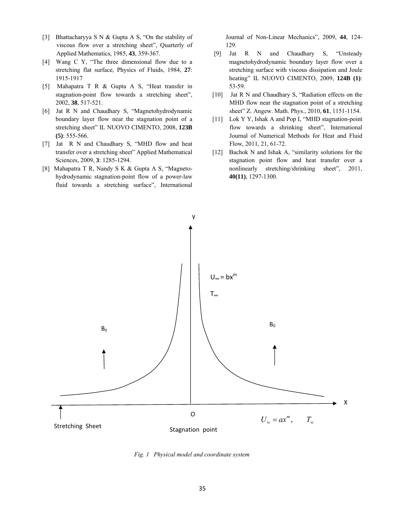- [3] Bhattacharyya S N & Gupta A S, "On the stability of viscous flow over a stretching sheet", Quarterly of Applied Mathematics, 1985, **43**, 359-367.
- [4] Wang C Y, "The three dimensional flow due to a stretching flat surface, Physics of Fluids, 1984, **27**: 1915-1917
- [5] Mahapatra T R & Gupta A S, "Heat transfer in stagnation-point flow towards a stretching sheet", 2002, **38**, 517-521.
- [6] Jat R N and Chaudhary S, "Magnetohydrodynamic boundary layer flow near the stagnation point of a stretching sheet" IL NUOVO CIMENTO, 2008, **123B (5)**: 555-566.
- [7] Jat R N and Chaudhary S, "MHD flow and heat transfer over a stretching sheet" Applied Mathematical Sciences, 2009, **3**: 1285-1294.
- [8] Mahapatra T R, Nandy S K & Gupta A S, "Magnetohydrodynamic stagnation-point flow of a power-law fluid towards a stretching surface", International

Journal of Non-Linear Mechanics", 2009, **44**, 124- 129.

- [9] Jat R N and Chaudhary S, "Unsteady magnetohydrodynamic boundary layer flow over a stretching surface with viscous dissipation and Joule heating" IL NUOVO CIMENTO, 2009, **124B (1)**: 53-59.
- [10] Jat R N and Chaudhary S, "Radiation effects on the MHD flow near the stagnation point of a stretching sheet" Z. Angew. Math. Phys., 2010, **61**, 1151-1154.
- [11] Lok Y Y, Ishak A and Pop I, "MHD stagnation-point flow towards a shrinking sheet", International Journal of Numerical Methods for Heat and Fluid Flow, 2011, 21, 61-72.
- [12] Bachok N and Ishak A, "similarity solutions for the stagnation point flow and heat transfer over a nonlinearly stretching/shrinking sheet", 2011, **40(11)**, 1297-1300.



*Fig. 1 Physical model and coordinate system*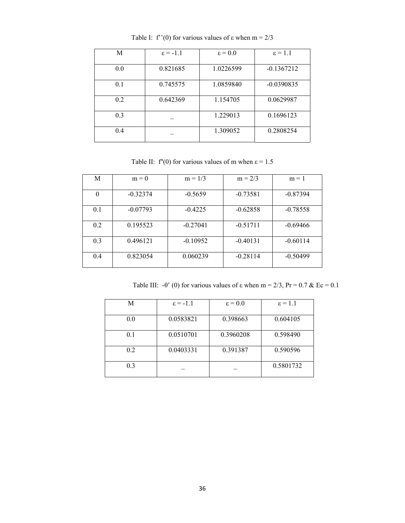| M   | $\epsilon = -1.1$ | $\epsilon = 0.0$ | $\epsilon = 1.1$ |
|-----|-------------------|------------------|------------------|
| 0.0 | 0.821685          | 1.0226599        | $-0.1367212$     |
| 0.1 | 0.745575          | 1.0859840        | $-0.0390835$     |
| 0.2 | 0.642369          | 1.154705         | 0.0629987        |
| 0.3 |                   | 1.229013         | 0.1696123        |
| 0.4 |                   | 1.309052         | 0.2808254        |

Table I: f''(0) for various values of  $\varepsilon$  when m = 2/3

Table II: f'(0) for various values of m when  $\varepsilon = 1.5$ 

| M        | $m = 0$    | $m = 1/3$  | $m = 2/3$  | $m = 1$    |
|----------|------------|------------|------------|------------|
| $\theta$ | $-0.32374$ | $-0.5659$  | $-0.73581$ | $-0.87394$ |
| 0.1      | $-0.07793$ | $-0.4225$  | $-0.62858$ | $-0.78558$ |
| 0.2      | 0.195523   | $-0.27041$ | $-0.51711$ | $-0.69466$ |
| 0.3      | 0.496121   | $-0.10952$ | $-0.40131$ | $-0.60114$ |
| 0.4      | 0.823054   | 0.060239   | $-0.28114$ | $-0.50499$ |

Table III: -θ' (0) for various values of  $\varepsilon$  when m = 2/3, Pr = 0.7 & Ec = 0.1

| M   | $\epsilon = -1.1$ | $\epsilon = 0.0$ | $\epsilon = 1.1$ |
|-----|-------------------|------------------|------------------|
| 0.0 | 0.0583821         | 0.398663         | 0.604105         |
| 0.1 | 0.0510701         | 0.3960208        | 0.598490         |
| 0.2 | 0.0403331         | 0.391387         | 0.590596         |
| 0.3 |                   |                  | 0.5801732        |
|     |                   |                  |                  |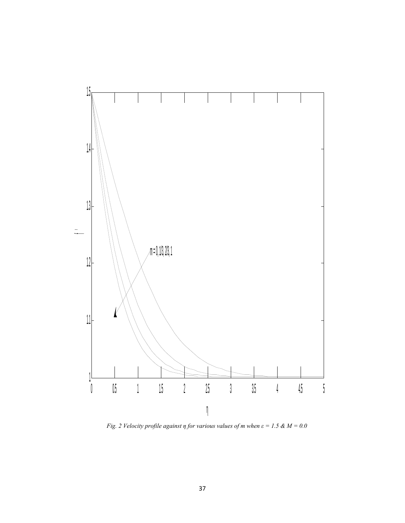

*Fig. 2 Velocity profile against*  $\eta$  *for various values of m when*  $\varepsilon = 1.5 \& M = 0.0$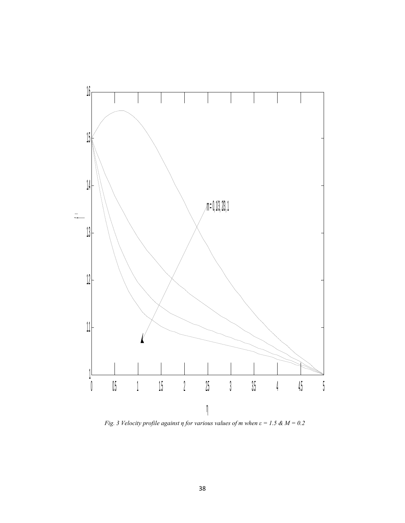

*Fig. 3 Velocity profile against η for various values of m when*  $\varepsilon = 1.5 \& M = 0.2$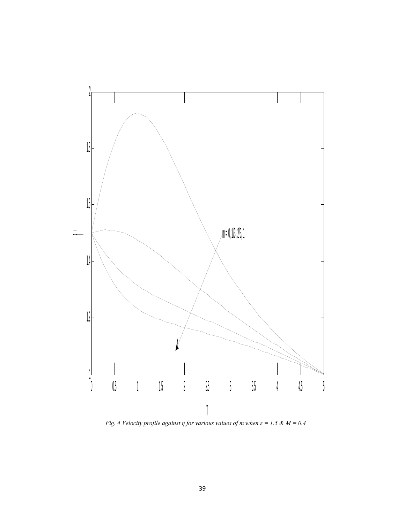

*Fig. 4 Velocity profile against η for various values of m when*  $\varepsilon = 1.5 \& M = 0.4$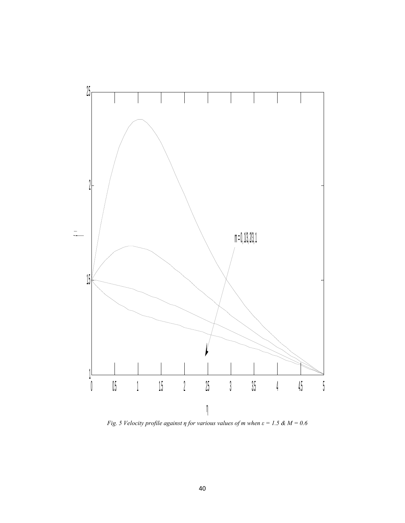

*Fig. 5 Velocity profile against η for various values of m when*  $\varepsilon = 1.5 \& M = 0.6$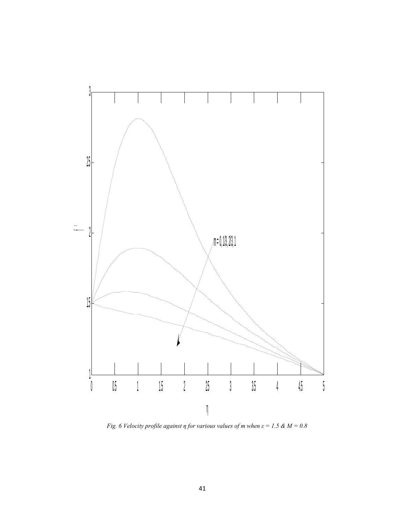

*Fig. 6 Velocity profile against*  $\eta$  *for various values of m when*  $\varepsilon = 1.5 \& M = 0.8$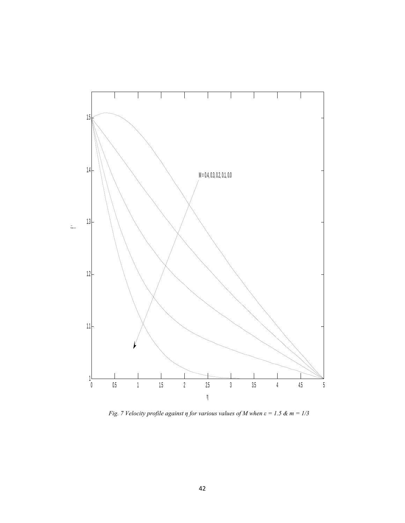

*Fig. 7 Velocity profile against*  $\eta$  *for various values of M when*  $\varepsilon = 1.5 \& m = 1/3$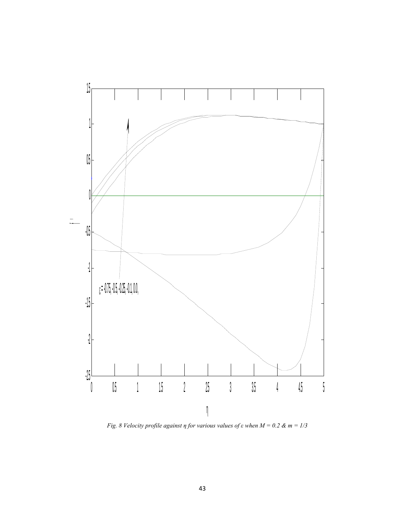

*Fig. 8 Velocity profile against η for various values of ε when*  $M = 0.2$  *& m = 1/3*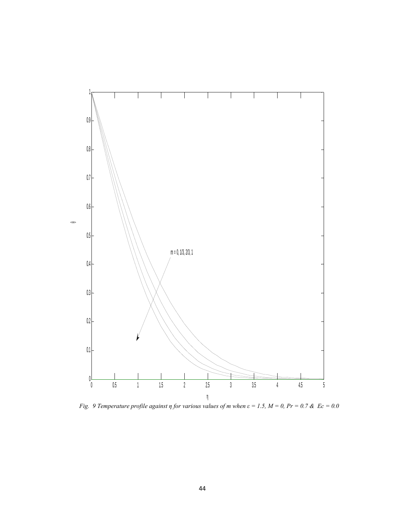

*Fig.* 9 Temperature profile against  $\eta$  for various values of m when  $\varepsilon = 1.5$ ,  $M = 0$ ,  $Pr = 0.7$  &  $Ec = 0.0$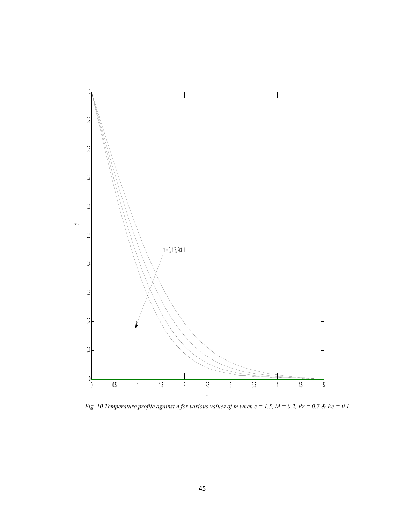

*Fig. 10 Temperature profile against η for various values of m when*  $\varepsilon = 1.5$ *,*  $M = 0.2$ *,*  $Pr = 0.7$  *&*  $Ec = 0.1$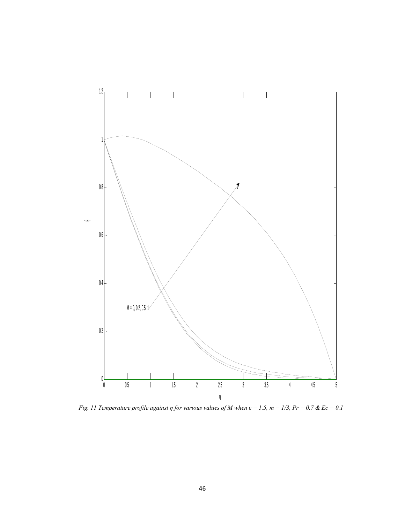

*Fig. 11 Temperature profile against η for various values of M when*  $\varepsilon = 1.5$ *, m = 1/3, Pr = 0.7 & Ec = 0.1*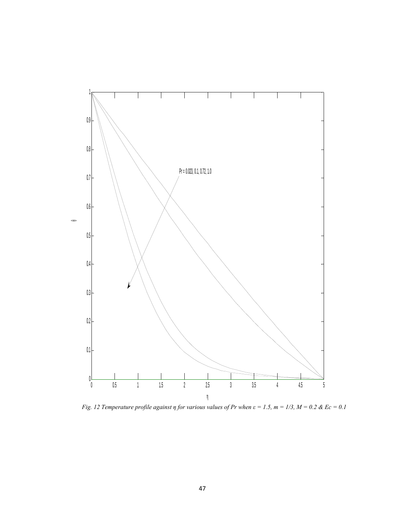

*Fig. 12 Temperature profile against η for various values of Pr when*  $\varepsilon = 1.5$ *, m = 1/3, M = 0.2 & Ec = 0.1*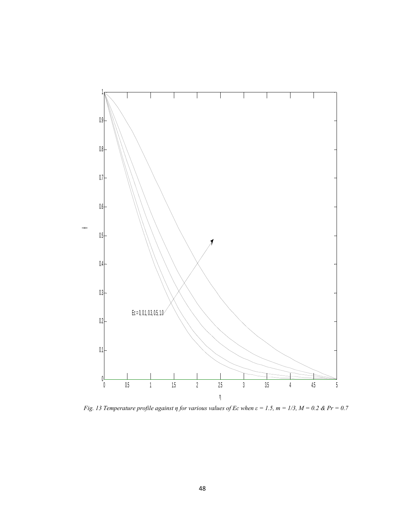

*Fig. 13 Temperature profile against η for various values of Ec when*  $\varepsilon = 1.5$ *, m = 1/3, M = 0.2 & Pr = 0.7*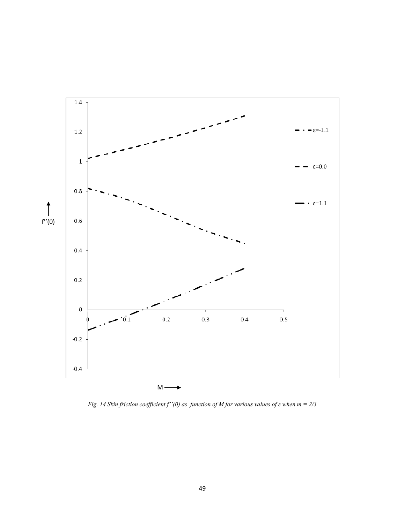

*Fig. 14 Skin friction coefficient f''(0) as function of M for various values of ε when m = 2/3*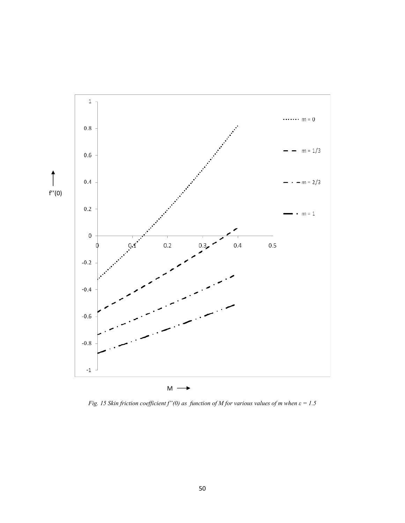

*Fig. 15 Skin friction coefficient f"(0) as function of M for various values of m when*  $\varepsilon = 1.5$